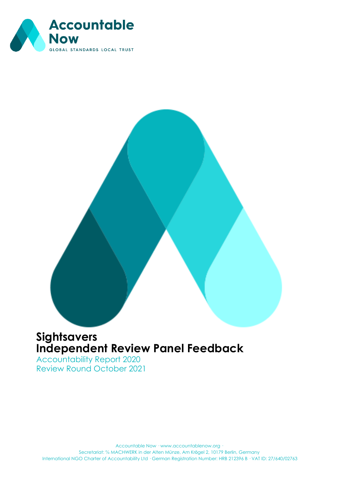

## **Sightsavers Independent Review Panel Feedback**

Accountability Report 2020 Review Round October 2021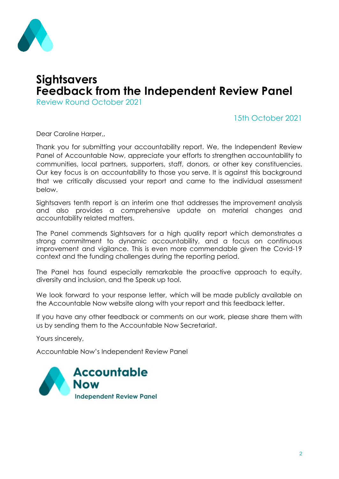

## **Sightsavers Feedback from the Independent Review Panel**

Review Round October 2021

#### 15th October 2021

Dear Caroline Harper,

Thank you for submitting your accountability report. We, the Independent Review Panel of Accountable Now, appreciate your efforts to strengthen accountability to communities, local partners, supporters, staff, donors, or other key constituencies. Our key focus is on accountability to those you serve. It is against this background that we critically discussed your report and came to the individual assessment below.

Sightsavers tenth report is an interim one that addresses the improvement analysis and also provides a comprehensive update on material changes and accountability related matters.

The Panel commends Sightsavers for a high quality report which demonstrates a strong commitment to dynamic accountability, and a focus on continuous improvement and vigilance. This is even more commendable given the Covid-19 context and the funding challenges during the reporting period.

The Panel has found especially remarkable the proactive approach to equity, diversity and inclusion, and the Speak up tool.

We look forward to your response letter, which will be made publicly available on the Accountable Now website along with your report and this feedback letter.

If you have any other feedback or comments on our work, please share them with us by sending them to the Accountable Now Secretariat.

Yours sincerely,

Accountable Now's Independent Review Panel

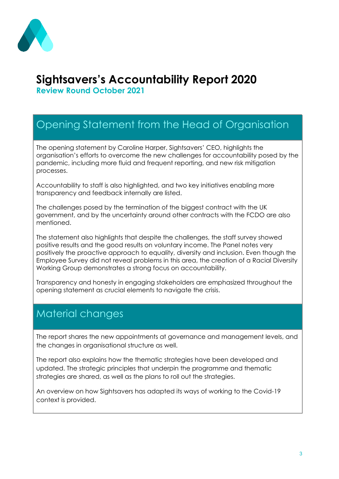

# **Sightsavers's Accountability Report 2020**

**Review Round October 2021**

# Opening Statement from the Head of Organisation

The opening statement by Caroline Harper, Sightsavers' CEO, highlights the organisation's efforts to overcome the new challenges for accountability posed by the pandemic, including more fluid and frequent reporting, and new risk mitigation processes.

Accountability to staff is also highlighted, and two key initiatives enabling more transparency and feedback internally are listed.

The challenges posed by the termination of the biggest contract with the UK government, and by the uncertainty around other contracts with the FCDO are also mentioned.

The statement also highlights that despite the challenges, the staff survey showed positive results and the good results on voluntary income. The Panel notes very positively the proactive approach to equality, diversity and inclusion. Even though the Employee Survey did not reveal problems in this area, the creation of a Racial Diversity Working Group demonstrates a strong focus on accountability.

Transparency and honesty in engaging stakeholders are emphasized throughout the opening statement as crucial elements to navigate the crisis.

## Material changes

The report shares the new appointments at governance and management levels, and the changes in organisational structure as well.

The report also explains how the thematic strategies have been developed and updated. The strategic principles that underpin the programme and thematic strategies are shared, as well as the plans to roll out the strategies.

An overview on how Sightsavers has adapted its ways of working to the Covid-19 context is provided.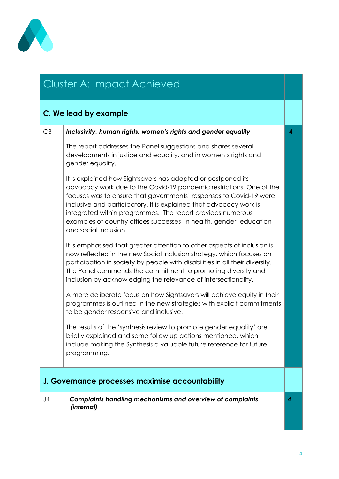

## Cluster A: Impact Achieved

#### **C. We lead by example** C3 *Inclusivity, human rights, women's rights and gender equality* The report addresses the Panel suggestions and shares several developments in justice and equality, and in women's rights and gender equality. It is explained how Sightsavers has adapted or postponed its advocacy work due to the Covid-19 pandemic restrictions. One of the focuses was to ensure that governments' responses to Covid-19 were inclusive and participatory. It is explained that advocacy work is integrated within programmes. The report provides numerous examples of country offices successes in health, gender, education and social inclusion. It is emphasised that greater attention to other aspects of inclusion is now reflected in the new Social Inclusion strategy, which focuses on participation in society by people with disabilities in all their diversity. The Panel commends the commitment to promoting diversity and inclusion by acknowledging the relevance of intersectionality. A more deliberate focus on how Sightsavers will achieve equity in their programmes is outlined in the new strategies with explicit commitments to be gender responsive and inclusive. The results of the 'synthesis review to promote gender equality' are briefly explained and some follow up actions mentioned, which include making the Synthesis a valuable future reference for future programming. *4* **J. Governance processes maximise accountability** J4 *Complaints handling mechanisms and overview of complaints (internal) 4*